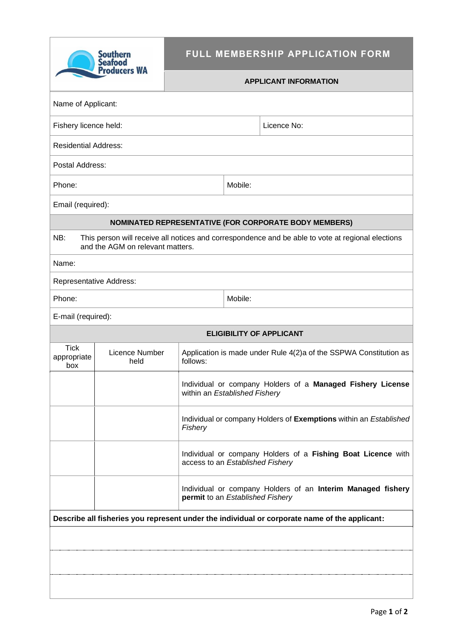| Southern<br><b>Seafood</b><br><b>Producers WA</b>                                                                                            |                         | FULL MEMBERSHIP APPLICATION FORM                                                                 |                                                                                             |  |  |  |  |
|----------------------------------------------------------------------------------------------------------------------------------------------|-------------------------|--------------------------------------------------------------------------------------------------|---------------------------------------------------------------------------------------------|--|--|--|--|
|                                                                                                                                              |                         | <b>APPLICANT INFORMATION</b>                                                                     |                                                                                             |  |  |  |  |
| Name of Applicant:                                                                                                                           |                         |                                                                                                  |                                                                                             |  |  |  |  |
| Fishery licence held:                                                                                                                        |                         |                                                                                                  | Licence No:                                                                                 |  |  |  |  |
| <b>Residential Address:</b>                                                                                                                  |                         |                                                                                                  |                                                                                             |  |  |  |  |
| Postal Address:                                                                                                                              |                         |                                                                                                  |                                                                                             |  |  |  |  |
| Phone:                                                                                                                                       |                         |                                                                                                  | Mobile:                                                                                     |  |  |  |  |
| Email (required):                                                                                                                            |                         |                                                                                                  |                                                                                             |  |  |  |  |
|                                                                                                                                              |                         |                                                                                                  | <b>NOMINATED REPRESENTATIVE (FOR CORPORATE BODY MEMBERS)</b>                                |  |  |  |  |
| NB:<br>This person will receive all notices and correspondence and be able to vote at regional elections<br>and the AGM on relevant matters. |                         |                                                                                                  |                                                                                             |  |  |  |  |
| Name:                                                                                                                                        |                         |                                                                                                  |                                                                                             |  |  |  |  |
|                                                                                                                                              | Representative Address: |                                                                                                  |                                                                                             |  |  |  |  |
| Phone:                                                                                                                                       |                         |                                                                                                  | Mobile:                                                                                     |  |  |  |  |
| E-mail (required):                                                                                                                           |                         |                                                                                                  |                                                                                             |  |  |  |  |
|                                                                                                                                              |                         |                                                                                                  | <b>ELIGIBILITY OF APPLICANT</b>                                                             |  |  |  |  |
| <b>Tick</b><br>appropriate<br>box                                                                                                            | Licence Number<br>held  | follows:                                                                                         | Application is made under Rule 4(2)a of the SSPWA Constitution as                           |  |  |  |  |
|                                                                                                                                              |                         |                                                                                                  | Individual or company Holders of a Managed Fishery License<br>within an Established Fishery |  |  |  |  |
|                                                                                                                                              |                         | Individual or company Holders of Exemptions within an Established<br>Fishery                     |                                                                                             |  |  |  |  |
|                                                                                                                                              |                         | Individual or company Holders of a Fishing Boat Licence with<br>access to an Established Fishery |                                                                                             |  |  |  |  |
|                                                                                                                                              |                         | Individual or company Holders of an Interim Managed fishery<br>permit to an Established Fishery  |                                                                                             |  |  |  |  |
| Describe all fisheries you represent under the individual or corporate name of the applicant:                                                |                         |                                                                                                  |                                                                                             |  |  |  |  |
|                                                                                                                                              |                         |                                                                                                  |                                                                                             |  |  |  |  |
|                                                                                                                                              |                         |                                                                                                  |                                                                                             |  |  |  |  |
|                                                                                                                                              |                         |                                                                                                  |                                                                                             |  |  |  |  |
|                                                                                                                                              |                         |                                                                                                  |                                                                                             |  |  |  |  |